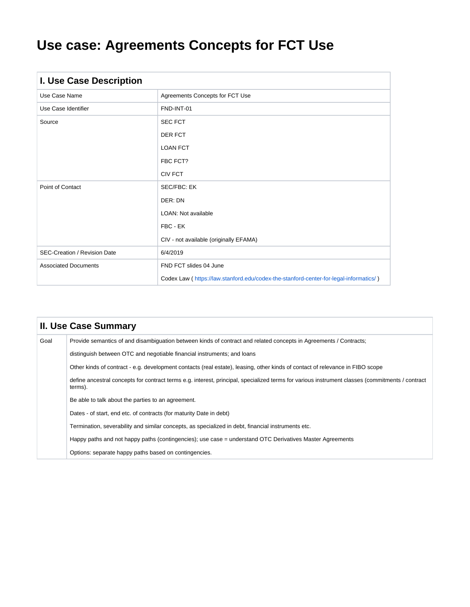# **Use case: Agreements Concepts for FCT Use**

| I. Use Case Description             |                                                                                       |  |  |  |  |
|-------------------------------------|---------------------------------------------------------------------------------------|--|--|--|--|
| Use Case Name                       | Agreements Concepts for FCT Use                                                       |  |  |  |  |
| Use Case Identifier                 | FND-INT-01                                                                            |  |  |  |  |
| Source                              | <b>SEC FCT</b>                                                                        |  |  |  |  |
|                                     | <b>DER FCT</b>                                                                        |  |  |  |  |
|                                     | <b>LOAN FCT</b>                                                                       |  |  |  |  |
|                                     | FBC FCT?                                                                              |  |  |  |  |
|                                     | <b>CIV FCT</b>                                                                        |  |  |  |  |
| Point of Contact                    | <b>SEC/FBC: EK</b>                                                                    |  |  |  |  |
|                                     | DER: DN                                                                               |  |  |  |  |
|                                     | LOAN: Not available                                                                   |  |  |  |  |
|                                     | FBC - EK                                                                              |  |  |  |  |
|                                     | CIV - not available (originally EFAMA)                                                |  |  |  |  |
| <b>SEC-Creation / Revision Date</b> | 6/4/2019                                                                              |  |  |  |  |
| <b>Associated Documents</b>         | FND FCT slides 04 June                                                                |  |  |  |  |
|                                     | Codex Law (https://law.stanford.edu/codex-the-stanford-center-for-legal-informatics/) |  |  |  |  |

|      | <b>II. Use Case Summary</b>                                                                                                                                |  |  |  |  |  |  |
|------|------------------------------------------------------------------------------------------------------------------------------------------------------------|--|--|--|--|--|--|
| Goal | Provide semantics of and disambiguation between kinds of contract and related concepts in Agreements / Contracts;                                          |  |  |  |  |  |  |
|      | distinguish between OTC and negotiable financial instruments; and loans                                                                                    |  |  |  |  |  |  |
|      | Other kinds of contract - e.g. development contacts (real estate), leasing, other kinds of contact of relevance in FIBO scope                              |  |  |  |  |  |  |
|      | define ancestral concepts for contract terms e.g. interest, principal, specialized terms for various instrument classes (commitments / contract<br>terms). |  |  |  |  |  |  |
|      | Be able to talk about the parties to an agreement.                                                                                                         |  |  |  |  |  |  |
|      | Dates - of start, end etc. of contracts (for maturity Date in debt)                                                                                        |  |  |  |  |  |  |
|      | Termination, severability and similar concepts, as specialized in debt, financial instruments etc.                                                         |  |  |  |  |  |  |
|      | Happy paths and not happy paths (contingencies); use case = understand OTC Derivatives Master Agreements                                                   |  |  |  |  |  |  |
|      | Options: separate happy paths based on contingencies.                                                                                                      |  |  |  |  |  |  |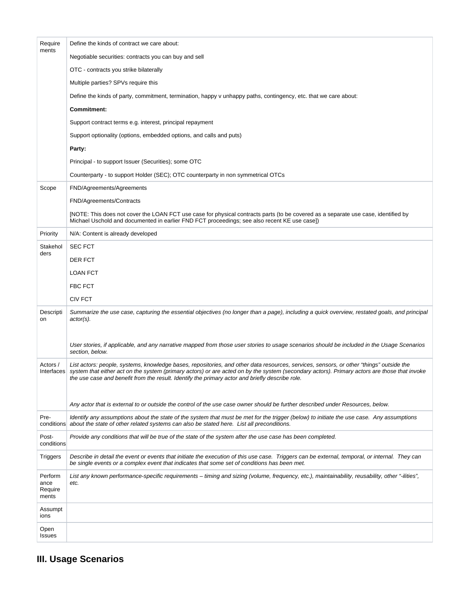| Require<br>ments                    | Define the kinds of contract we care about:                                                                                                                                                                                                                                                                                                                                                |
|-------------------------------------|--------------------------------------------------------------------------------------------------------------------------------------------------------------------------------------------------------------------------------------------------------------------------------------------------------------------------------------------------------------------------------------------|
|                                     | Negotiable securities: contracts you can buy and sell                                                                                                                                                                                                                                                                                                                                      |
|                                     | OTC - contracts you strike bilaterally                                                                                                                                                                                                                                                                                                                                                     |
|                                     | Multiple parties? SPVs require this                                                                                                                                                                                                                                                                                                                                                        |
|                                     | Define the kinds of party, commitment, termination, happy v unhappy paths, contingency, etc. that we care about:                                                                                                                                                                                                                                                                           |
|                                     | Commitment:                                                                                                                                                                                                                                                                                                                                                                                |
|                                     | Support contract terms e.g. interest, principal repayment                                                                                                                                                                                                                                                                                                                                  |
|                                     | Support optionality (options, embedded options, and calls and puts)                                                                                                                                                                                                                                                                                                                        |
|                                     | Party:                                                                                                                                                                                                                                                                                                                                                                                     |
|                                     | Principal - to support Issuer (Securities); some OTC                                                                                                                                                                                                                                                                                                                                       |
|                                     | Counterparty - to support Holder (SEC); OTC counterparty in non symmetrical OTCs                                                                                                                                                                                                                                                                                                           |
| Scope                               | FND/Agreements/Agreements                                                                                                                                                                                                                                                                                                                                                                  |
|                                     | FND/Agreements/Contracts                                                                                                                                                                                                                                                                                                                                                                   |
|                                     | [NOTE: This does not cover the LOAN FCT use case for physical contracts parts (to be covered as a separate use case, identified by<br>Michael Uschold and documented in earlier FND FCT proceedings; see also recent KE use case])                                                                                                                                                         |
| Priority                            | N/A: Content is already developed                                                                                                                                                                                                                                                                                                                                                          |
| Stakehol<br>ders                    | <b>SEC FCT</b>                                                                                                                                                                                                                                                                                                                                                                             |
|                                     | DER FCT                                                                                                                                                                                                                                                                                                                                                                                    |
|                                     | <b>LOAN FCT</b>                                                                                                                                                                                                                                                                                                                                                                            |
|                                     | <b>FBC FCT</b>                                                                                                                                                                                                                                                                                                                                                                             |
|                                     | <b>CIV FCT</b>                                                                                                                                                                                                                                                                                                                                                                             |
| Descripti<br>on                     | Summarize the use case, capturing the essential objectives (no longer than a page), including a quick overview, restated goals, and principal<br>$actor(s)$ .                                                                                                                                                                                                                              |
|                                     | User stories, if applicable, and any narrative mapped from those user stories to usage scenarios should be included in the Usage Scenarios<br>section, below.                                                                                                                                                                                                                              |
| Actors /<br>Interfaces              | List actors: people, systems, knowledge bases, repositories, and other data resources, services, sensors, or other "things" outside the<br>system that either act on the system (primary actors) or are acted on by the system (secondary actors). Primary actors are those that invoke<br>the use case and benefit from the result. Identify the primary actor and briefly describe role. |
|                                     |                                                                                                                                                                                                                                                                                                                                                                                            |
|                                     | Any actor that is external to or outside the control of the use case owner should be further described under Resources, below.                                                                                                                                                                                                                                                             |
| Pre-                                | Identify any assumptions about the state of the system that must be met for the trigger (below) to initiate the use case. Any assumptions<br>conditions about the state of other related systems can also be stated here. List all preconditions.                                                                                                                                          |
| Post-<br>conditions                 | Provide any conditions that will be true of the state of the system after the use case has been completed.                                                                                                                                                                                                                                                                                 |
| Triggers                            | Describe in detail the event or events that initiate the execution of this use case. Triggers can be external, temporal, or internal. They can<br>be single events or a complex event that indicates that some set of conditions has been met.                                                                                                                                             |
| Perform<br>ance<br>Require<br>ments | List any known performance-specific requirements – timing and sizing (volume, frequency, etc.), maintainability, reusability, other "-ilities",<br>etc.                                                                                                                                                                                                                                    |
| Assumpt<br>ions                     |                                                                                                                                                                                                                                                                                                                                                                                            |
| Open<br>Issues                      |                                                                                                                                                                                                                                                                                                                                                                                            |

# **III. Usage Scenarios**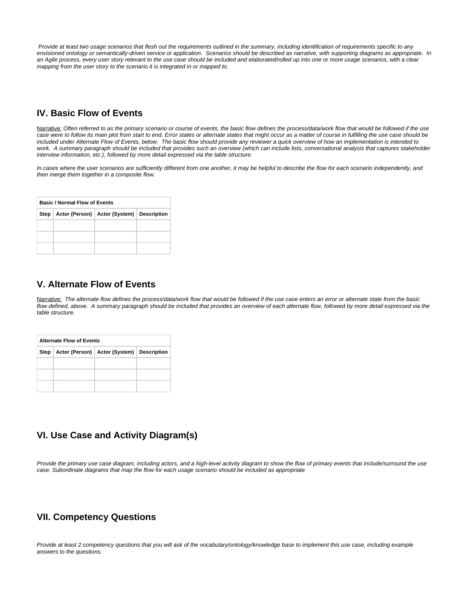Provide at least two usage scenarios that flesh out the requirements outlined in the summary, including identification of requirements specific to any envisioned ontology or semantically-driven service or application. Scenarios should be described as narrative, with supporting diagrams as appropriate. In an Agile process, every user story relevant to the use case should be included and elaborated/rolled up into one or more usage scenarios, with a clear mapping from the user story to the scenario it is integrated in or mapped to.

## **IV. Basic Flow of Events**

Narrative: Often referred to as the primary scenario or course of events, the basic flow defines the process/data/work flow that would be followed if the use case were to follow its main plot from start to end. Error states or alternate states that might occur as a matter of course in fulfilling the use case should be included under Alternate Flow of Events, below. The basic flow should provide any reviewer a quick overview of how an implementation is intended to work. A summary paragraph should be included that provides such an overview (which can include lists, conversational analysis that captures stakeholder interview information, etc.), followed by more detail expressed via the table structure.

In cases where the user scenarios are sufficiently different from one another, it may be helpful to describe the flow for each scenario independently, and then merge them together in a composite flow.

| <b>Basic / Normal Flow of Events</b> |  |                                                      |  |  |  |  |
|--------------------------------------|--|------------------------------------------------------|--|--|--|--|
|                                      |  | Step   Actor (Person)   Actor (System)   Description |  |  |  |  |
|                                      |  |                                                      |  |  |  |  |
|                                      |  |                                                      |  |  |  |  |
|                                      |  |                                                      |  |  |  |  |

#### **V. Alternate Flow of Events**

Narrative: The alternate flow defines the process/data/work flow that would be followed if the use case enters an error or alternate state from the basic flow defined, above. A summary paragraph should be included that provides an overview of each alternate flow, followed by more detail expressed via the table structure.

| <b>Alternate Flow of Events</b> |  |                                               |  |  |  |  |
|---------------------------------|--|-----------------------------------------------|--|--|--|--|
| Step                            |  | Actor (Person)   Actor (System)   Description |  |  |  |  |
|                                 |  |                                               |  |  |  |  |
|                                 |  |                                               |  |  |  |  |
|                                 |  |                                               |  |  |  |  |

## **VI. Use Case and Activity Diagram(s)**

Provide the primary use case diagram, including actors, and a high-level activity diagram to show the flow of primary events that include/surround the use case. Subordinate diagrams that map the flow for each usage scenario should be included as appropriate

## **VII. Competency Questions**

Provide at least 2 competency questions that you will ask of the vocabulary/ontology/knowledge base to implement this use case, including example answers to the questions.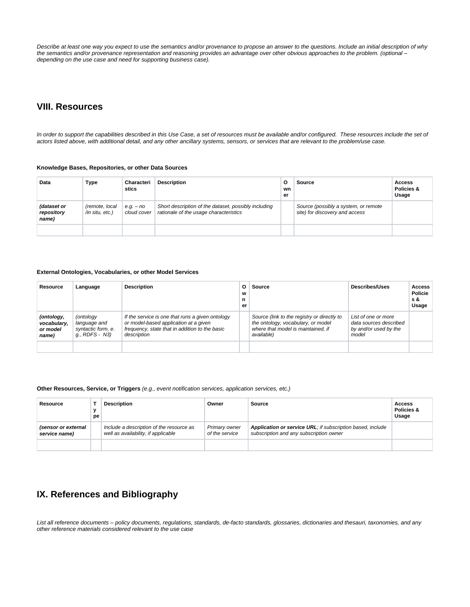Describe at least one way you expect to use the semantics and/or provenance to propose an answer to the questions. Include an initial description of why the semantics and/or provenance representation and reasoning provides an advantage over other obvious approaches to the problem. (optional – depending on the use case and need for supporting business case).

### **VIII. Resources**

In order to support the capabilities described in this Use Case, a set of resources must be available and/or configured. These resources include the set of actors listed above, with additional detail, and any other ancillary systems, sensors, or services that are relevant to the problem/use case.

#### **Knowledge Bases, Repositories, or other Data Sources**

| Data                               | Type                              | Characteri<br>stics        | <b>Description</b>                                                                             | o<br>wn<br>er | <b>Source</b>                                                          | Access<br>Policies &<br>Usage |
|------------------------------------|-----------------------------------|----------------------------|------------------------------------------------------------------------------------------------|---------------|------------------------------------------------------------------------|-------------------------------|
| (dataset or<br>repository<br>name) | (remote, local<br>/in situ, etc.) | $e.g. - no$<br>cloud cover | Short description of the dataset, possibly including<br>rationale of the usage characteristics |               | Source (possibly a system, or remote<br>site) for discovery and access |                               |
|                                    |                                   |                            |                                                                                                |               |                                                                        |                               |

#### **External Ontologies, Vocabularies, or other Model Services**

| Resource                                       | Language                                                          | <b>Description</b>                                                                                                                                         | O<br>W<br>n<br>er | Source                                                                                                                                | <b>Describes/Uses</b>                                                           | <b>Access</b><br><b>Policie</b><br>s &<br>Usage |
|------------------------------------------------|-------------------------------------------------------------------|------------------------------------------------------------------------------------------------------------------------------------------------------------|-------------------|---------------------------------------------------------------------------------------------------------------------------------------|---------------------------------------------------------------------------------|-------------------------------------------------|
| (ontology,<br>vocabulary,<br>or model<br>name) | (ontology<br>language and<br>syntactic form, e.<br>q., RDFS - N3) | If the service is one that runs a given ontology<br>or model-based application at a given<br>frequency, state that in addition to the basic<br>description |                   | Source (link to the registry or directly to<br>the ontology, vocabulary, or model<br>where that model is maintained, if<br>available) | List of one or more<br>data sources described<br>by and/or used by the<br>model |                                                 |
|                                                |                                                                   |                                                                                                                                                            |                   |                                                                                                                                       |                                                                                 |                                                 |

#### **Other Resources, Service, or Triggers** (e.g., event notification services, application services, etc.)

| Resource                             | $\mathbf{v}$<br>pe | <b>Description</b>                                                              | Owner                           | Source                                                                                                | Access<br>Policies &<br>Usage |
|--------------------------------------|--------------------|---------------------------------------------------------------------------------|---------------------------------|-------------------------------------------------------------------------------------------------------|-------------------------------|
| (sensor or external<br>service name) |                    | Include a description of the resource as<br>well as availability, if applicable | Primary owner<br>of the service | Application or service URL; if subscription based, include<br>subscription and any subscription owner |                               |
|                                      |                    |                                                                                 |                                 |                                                                                                       |                               |

# **IX. References and Bibliography**

List all reference documents – policy documents, regulations, standards, de-facto standards, glossaries, dictionaries and thesauri, taxonomies, and any other reference materials considered relevant to the use case